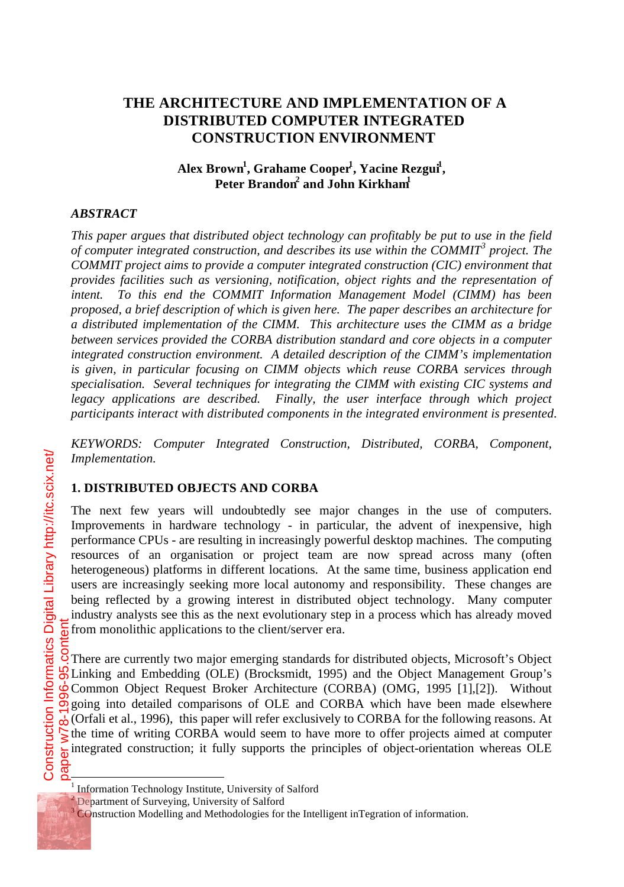# **THE ARCHITECTURE AND IMPLEMENTATION OF A DISTRIBUTED COMPUTER INTEGRATED CONSTRUCTION ENVIRONMENT**

### **Alex Brown<sup>1</sup> , Grahame Cooper<sup>1</sup> , Yacine Rezgui<sup>1</sup> , Peter Brandon<sup>2</sup> and John Kirkham<sup>1</sup>**

#### *ABSTRACT*

*This paper argues that distributed object technology can profitably be put to use in the field of computer integrated construction, and describes its use within the COMMIT<sup>3</sup> project. The COMMIT project aims to provide a computer integrated construction (CIC) environment that provides facilities such as versioning, notification, object rights and the representation of intent. To this end the COMMIT Information Management Model (CIMM) has been proposed, a brief description of which is given here. The paper describes an architecture for a distributed implementation of the CIMM. This architecture uses the CIMM as a bridge between services provided the CORBA distribution standard and core objects in a computer integrated construction environment. A detailed description of the CIMM's implementation is given, in particular focusing on CIMM objects which reuse CORBA services through specialisation. Several techniques for integrating the CIMM with existing CIC systems and legacy applications are described. Finally, the user interface through which project participants interact with distributed components in the integrated environment is presented.*

*KEYWORDS: Computer Integrated Construction, Distributed, CORBA, Component, Implementation.*

#### **1. DISTRIBUTED OBJECTS AND CORBA**

The next few years will undoubtedly see major changes in the use of computers. Improvements in hardware technology - in particular, the advent of inexpensive, high performance CPUs - are resulting in increasingly powerful desktop machines. The computing resources of an organisation or project team are now spread across many (often heterogeneous) platforms in different locations. At the same time, business application end users are increasingly seeking more local autonomy and responsibility. These changes are being reflected by a growing interest in distributed object technology. Many computer industry analysts see this as the next evolutionary step in a process which has already moved from monolithic applications to the client/server era.

There are currently two major emerging standards for distributed objects, Microsoft's Object Linking and Embedding (OLE) (Brocksmidt, 1995) and the Object Management Group's Common Object Request Broker Architecture (CORBA) (OMG, 1995 [1],[2]). Without going into detailed comparisons of OLE and CORBA which have been made elsewhere  $\lambda$ <sub>D</sub>. (Orfali et al., 1996), this paper will refer exclusively to CORBA for the following reasons. At the time of writing CORBA would seem to have more to offer projects aimed at computer integrated construction; it fully supports the principles of object-orientation whereas OLE

l,

<sup>&</sup>lt;sup>1</sup> Information Technology Institute, University of Salford

<sup>&</sup>lt;sup>2</sup> Department of Surveying, University of Salford

<sup>&</sup>lt;sup>3</sup> COnstruction Modelling and Methodologies for the Intelligent inTegration of information.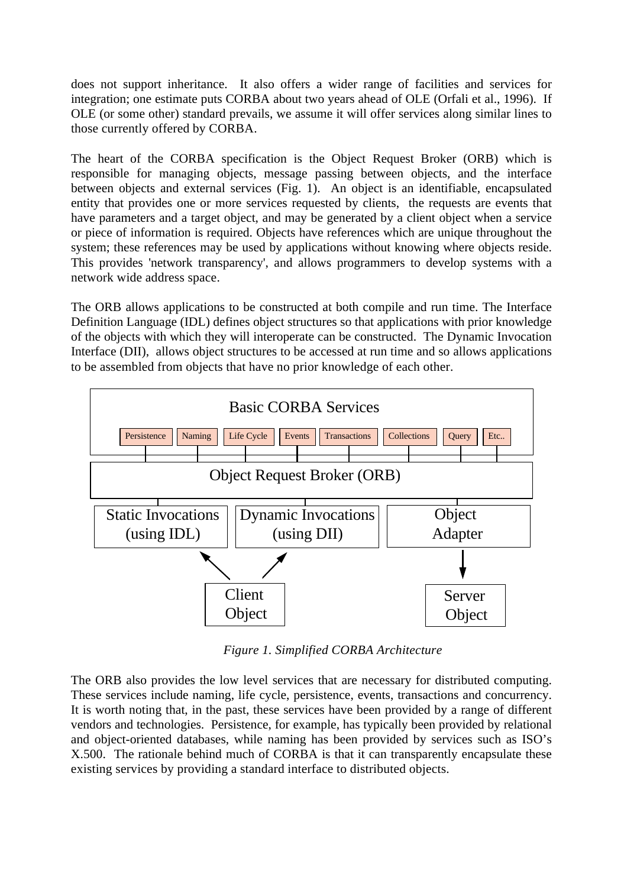does not support inheritance. It also offers a wider range of facilities and services for integration; one estimate puts CORBA about two years ahead of OLE (Orfali et al., 1996). If OLE (or some other) standard prevails, we assume it will offer services along similar lines to those currently offered by CORBA.

The heart of the CORBA specification is the Object Request Broker (ORB) which is responsible for managing objects, message passing between objects, and the interface between objects and external services (Fig. 1). An object is an identifiable, encapsulated entity that provides one or more services requested by clients, the requests are events that have parameters and a target object, and may be generated by a client object when a service or piece of information is required. Objects have references which are unique throughout the system; these references may be used by applications without knowing where objects reside. This provides 'network transparency', and allows programmers to develop systems with a network wide address space.

The ORB allows applications to be constructed at both compile and run time. The Interface Definition Language (IDL) defines object structures so that applications with prior knowledge of the objects with which they will interoperate can be constructed. The Dynamic Invocation Interface (DII), allows object structures to be accessed at run time and so allows applications to be assembled from objects that have no prior knowledge of each other.



*Figure 1. Simplified CORBA Architecture*

The ORB also provides the low level services that are necessary for distributed computing. These services include naming, life cycle, persistence, events, transactions and concurrency. It is worth noting that, in the past, these services have been provided by a range of different vendors and technologies. Persistence, for example, has typically been provided by relational and object-oriented databases, while naming has been provided by services such as ISO's X.500. The rationale behind much of CORBA is that it can transparently encapsulate these existing services by providing a standard interface to distributed objects.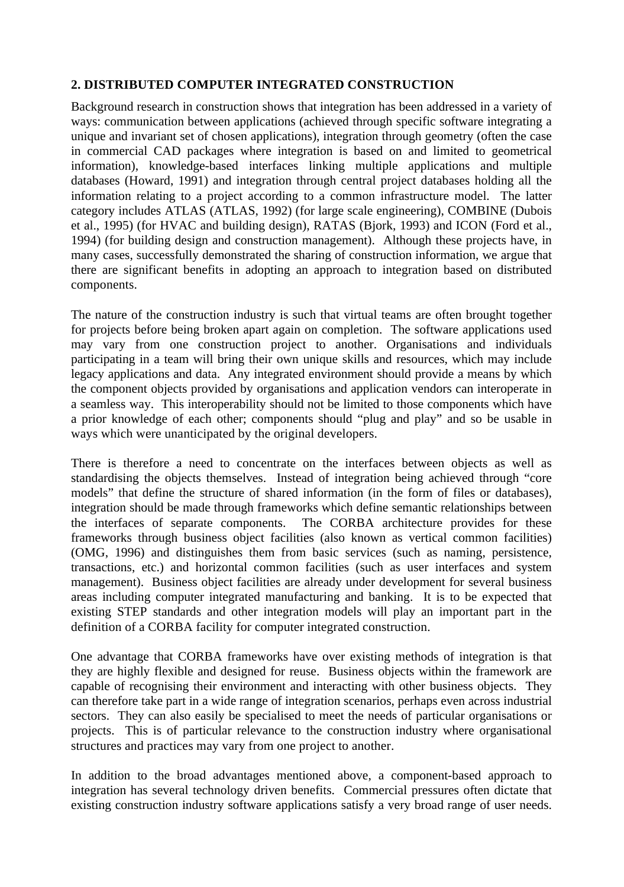### **2. DISTRIBUTED COMPUTER INTEGRATED CONSTRUCTION**

Background research in construction shows that integration has been addressed in a variety of ways: communication between applications (achieved through specific software integrating a unique and invariant set of chosen applications), integration through geometry (often the case in commercial CAD packages where integration is based on and limited to geometrical information), knowledge-based interfaces linking multiple applications and multiple databases (Howard, 1991) and integration through central project databases holding all the information relating to a project according to a common infrastructure model. The latter category includes ATLAS (ATLAS, 1992) (for large scale engineering), COMBINE (Dubois et al., 1995) (for HVAC and building design), RATAS (Bjork, 1993) and ICON (Ford et al., 1994) (for building design and construction management). Although these projects have, in many cases, successfully demonstrated the sharing of construction information, we argue that there are significant benefits in adopting an approach to integration based on distributed components.

The nature of the construction industry is such that virtual teams are often brought together for projects before being broken apart again on completion. The software applications used may vary from one construction project to another. Organisations and individuals participating in a team will bring their own unique skills and resources, which may include legacy applications and data. Any integrated environment should provide a means by which the component objects provided by organisations and application vendors can interoperate in a seamless way. This interoperability should not be limited to those components which have a prior knowledge of each other; components should "plug and play" and so be usable in ways which were unanticipated by the original developers.

There is therefore a need to concentrate on the interfaces between objects as well as standardising the objects themselves. Instead of integration being achieved through "core models" that define the structure of shared information (in the form of files or databases), integration should be made through frameworks which define semantic relationships between<br>the interfaces of separate components. The CORBA architecture provides for these The CORBA architecture provides for these frameworks through business object facilities (also known as vertical common facilities) (OMG, 1996) and distinguishes them from basic services (such as naming, persistence, transactions, etc.) and horizontal common facilities (such as user interfaces and system management). Business object facilities are already under development for several business areas including computer integrated manufacturing and banking. It is to be expected that existing STEP standards and other integration models will play an important part in the definition of a CORBA facility for computer integrated construction.

One advantage that CORBA frameworks have over existing methods of integration is that they are highly flexible and designed for reuse. Business objects within the framework are capable of recognising their environment and interacting with other business objects. They can therefore take part in a wide range of integration scenarios, perhaps even across industrial sectors. They can also easily be specialised to meet the needs of particular organisations or projects. This is of particular relevance to the construction industry where organisational structures and practices may vary from one project to another.

In addition to the broad advantages mentioned above, a component-based approach to integration has several technology driven benefits. Commercial pressures often dictate that existing construction industry software applications satisfy a very broad range of user needs.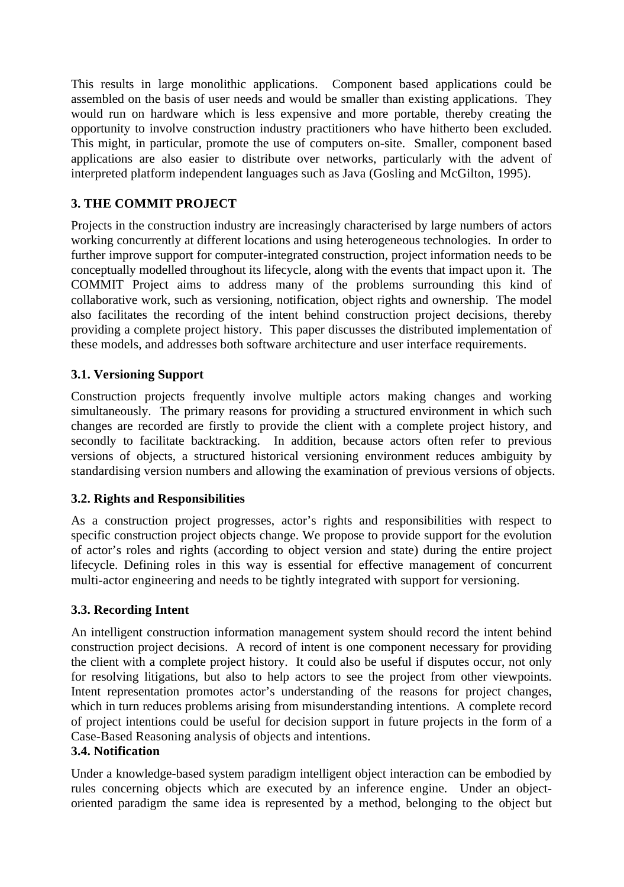This results in large monolithic applications. Component based applications could be assembled on the basis of user needs and would be smaller than existing applications. They would run on hardware which is less expensive and more portable, thereby creating the opportunity to involve construction industry practitioners who have hitherto been excluded. This might, in particular, promote the use of computers on-site. Smaller, component based applications are also easier to distribute over networks, particularly with the advent of interpreted platform independent languages such as Java (Gosling and McGilton, 1995).

# **3. THE COMMIT PROJECT**

Projects in the construction industry are increasingly characterised by large numbers of actors working concurrently at different locations and using heterogeneous technologies. In order to further improve support for computer-integrated construction, project information needs to be conceptually modelled throughout its lifecycle, along with the events that impact upon it. The COMMIT Project aims to address many of the problems surrounding this kind of collaborative work, such as versioning, notification, object rights and ownership. The model also facilitates the recording of the intent behind construction project decisions, thereby providing a complete project history. This paper discusses the distributed implementation of these models, and addresses both software architecture and user interface requirements.

# **3.1. Versioning Support**

Construction projects frequently involve multiple actors making changes and working simultaneously. The primary reasons for providing a structured environment in which such changes are recorded are firstly to provide the client with a complete project history, and secondly to facilitate backtracking. In addition, because actors often refer to previous versions of objects, a structured historical versioning environment reduces ambiguity by standardising version numbers and allowing the examination of previous versions of objects.

# **3.2. Rights and Responsibilities**

As a construction project progresses, actor's rights and responsibilities with respect to specific construction project objects change. We propose to provide support for the evolution of actor's roles and rights (according to object version and state) during the entire project lifecycle. Defining roles in this way is essential for effective management of concurrent multi-actor engineering and needs to be tightly integrated with support for versioning.

# **3.3. Recording Intent**

An intelligent construction information management system should record the intent behind construction project decisions. A record of intent is one component necessary for providing the client with a complete project history. It could also be useful if disputes occur, not only for resolving litigations, but also to help actors to see the project from other viewpoints. Intent representation promotes actor's understanding of the reasons for project changes, which in turn reduces problems arising from misunderstanding intentions. A complete record of project intentions could be useful for decision support in future projects in the form of a Case-Based Reasoning analysis of objects and intentions.

### **3.4. Notification**

Under a knowledge-based system paradigm intelligent object interaction can be embodied by rules concerning objects which are executed by an inference engine. Under an objectoriented paradigm the same idea is represented by a method, belonging to the object but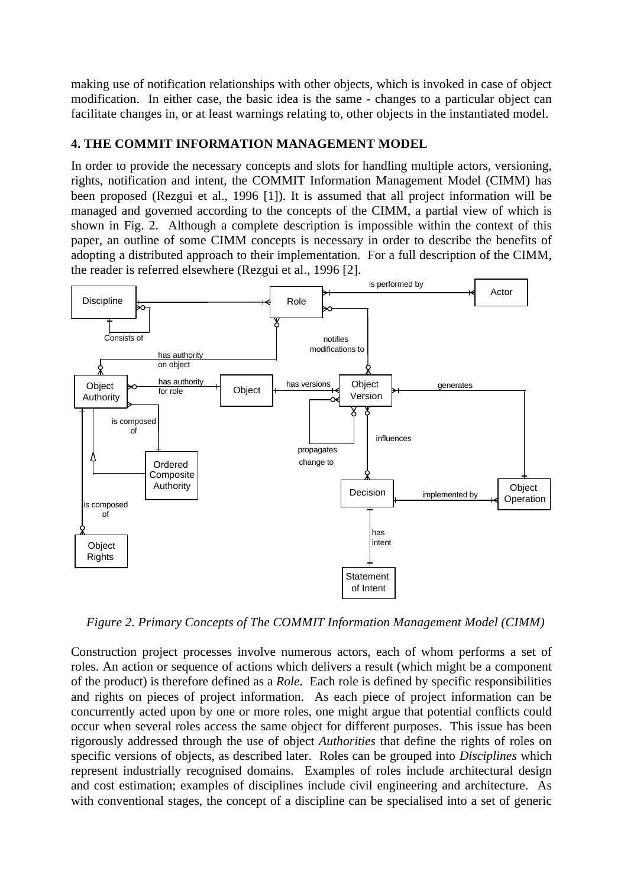making use of notification relationships with other objects, which is invoked in case of object modification. In either case, the basic idea is the same - changes to a particular object can facilitate changes in, or at least warnings relating to, other objects in the instantiated model.

### **4. THE COMMIT INFORMATION MANAGEMENT MODEL**

In order to provide the necessary concepts and slots for handling multiple actors, versioning, rights, notification and intent, the COMMIT Information Management Model (CIMM) has been proposed (Rezgui et al., 1996 [1]). It is assumed that all project information will be managed and governed according to the concepts of the CIMM, a partial view of which is shown in Fig. 2. Although a complete description is impossible within the context of this paper, an outline of some CIMM concepts is necessary in order to describe the benefits of adopting a distributed approach to their implementation. For a full description of the CIMM, the reader is referred elsewhere (Rezgui et al., 1996 [2].



*Figure 2. Primary Concepts of The COMMIT Information Management Model (CIMM)*

Construction project processes involve numerous actors, each of whom performs a set of roles. An action or sequence of actions which delivers a result (which might be a component of the product) is therefore defined as a *Role.* Each role is defined by specific responsibilities and rights on pieces of project information. As each piece of project information can be concurrently acted upon by one or more roles, one might argue that potential conflicts could occur when several roles access the same object for different purposes. This issue has been rigorously addressed through the use of object *Authorities* that define the rights of roles on specific versions of objects, as described later. Roles can be grouped into *Disciplines* which represent industrially recognised domains. Examples of roles include architectural design and cost estimation; examples of disciplines include civil engineering and architecture. As with conventional stages, the concept of a discipline can be specialised into a set of generic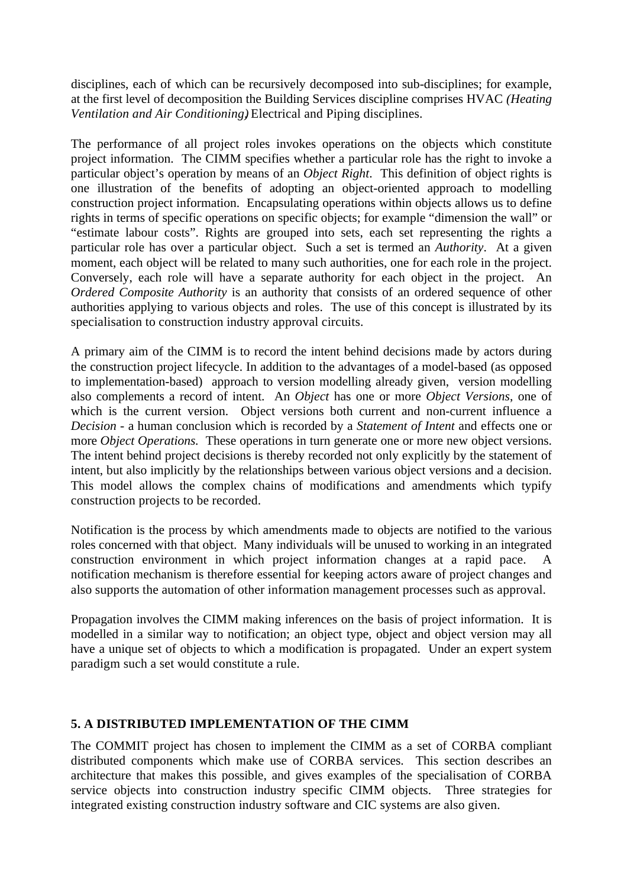disciplines, each of which can be recursively decomposed into sub-disciplines; for example, at the first level of decomposition the Building Services discipline comprises HVAC *(Heating Ventilation and Air Conditioning)*, Electrical and Piping disciplines.

The performance of all project roles invokes operations on the objects which constitute project information. The CIMM specifies whether a particular role has the right to invoke a particular object's operation by means of an *Object Right*. This definition of object rights is one illustration of the benefits of adopting an object-oriented approach to modelling construction project information. Encapsulating operations within objects allows us to define rights in terms of specific operations on specific objects; for example "dimension the wall" or "estimate labour costs". Rights are grouped into sets, each set representing the rights a particular role has over a particular object. Such a set is termed an *Authority*. At a given moment, each object will be related to many such authorities, one for each role in the project. Conversely, each role will have a separate authority for each object in the project. An *Ordered Composite Authority* is an authority that consists of an ordered sequence of other authorities applying to various objects and roles. The use of this concept is illustrated by its specialisation to construction industry approval circuits.

A primary aim of the CIMM is to record the intent behind decisions made by actors during the construction project lifecycle. In addition to the advantages of a model-based (as opposed to implementation-based) approach to version modelling already given, version modelling also complements a record of intent. An *Object* has one or more *Object Versions*, one of which is the current version. Object versions both current and non-current influence a *Decision* - a human conclusion which is recorded by a *Statement of Intent* and effects one or more *Object Operations.* These operations in turn generate one or more new object versions. The intent behind project decisions is thereby recorded not only explicitly by the statement of intent, but also implicitly by the relationships between various object versions and a decision. This model allows the complex chains of modifications and amendments which typify construction projects to be recorded.

Notification is the process by which amendments made to objects are notified to the various roles concerned with that object. Many individuals will be unused to working in an integrated construction environment in which project information changes at a rapid pace. A notification mechanism is therefore essential for keeping actors aware of project changes and also supports the automation of other information management processes such as approval.

Propagation involves the CIMM making inferences on the basis of project information. It is modelled in a similar way to notification; an object type, object and object version may all have a unique set of objects to which a modification is propagated. Under an expert system paradigm such a set would constitute a rule.

### **5. A DISTRIBUTED IMPLEMENTATION OF THE CIMM**

The COMMIT project has chosen to implement the CIMM as a set of CORBA compliant distributed components which make use of CORBA services. This section describes an architecture that makes this possible, and gives examples of the specialisation of CORBA service objects into construction industry specific CIMM objects. Three strategies for integrated existing construction industry software and CIC systems are also given.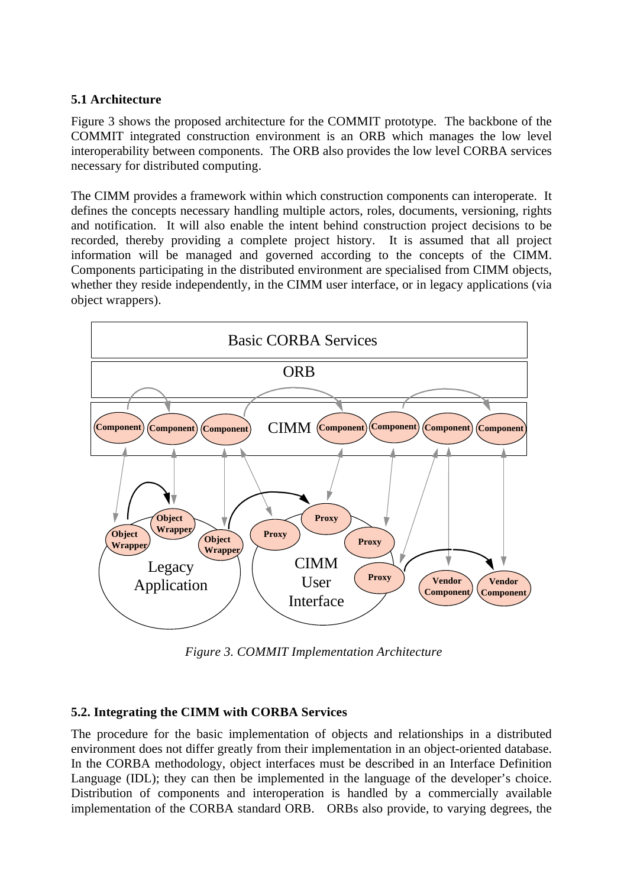#### **5.1 Architecture**

Figure 3 shows the proposed architecture for the COMMIT prototype. The backbone of the COMMIT integrated construction environment is an ORB which manages the low level interoperability between components. The ORB also provides the low level CORBA services necessary for distributed computing.

The CIMM provides a framework within which construction components can interoperate. It defines the concepts necessary handling multiple actors, roles, documents, versioning, rights and notification. It will also enable the intent behind construction project decisions to be recorded, thereby providing a complete project history. It is assumed that all project information will be managed and governed according to the concepts of the CIMM. Components participating in the distributed environment are specialised from CIMM objects, whether they reside independently, in the CIMM user interface, or in legacy applications (via object wrappers).



*Figure 3. COMMIT Implementation Architecture*

### **5.2. Integrating the CIMM with CORBA Services**

The procedure for the basic implementation of objects and relationships in a distributed environment does not differ greatly from their implementation in an object-oriented database. In the CORBA methodology, object interfaces must be described in an Interface Definition Language (IDL); they can then be implemented in the language of the developer's choice. Distribution of components and interoperation is handled by a commercially available implementation of the CORBA standard ORB. ORBs also provide, to varying degrees, the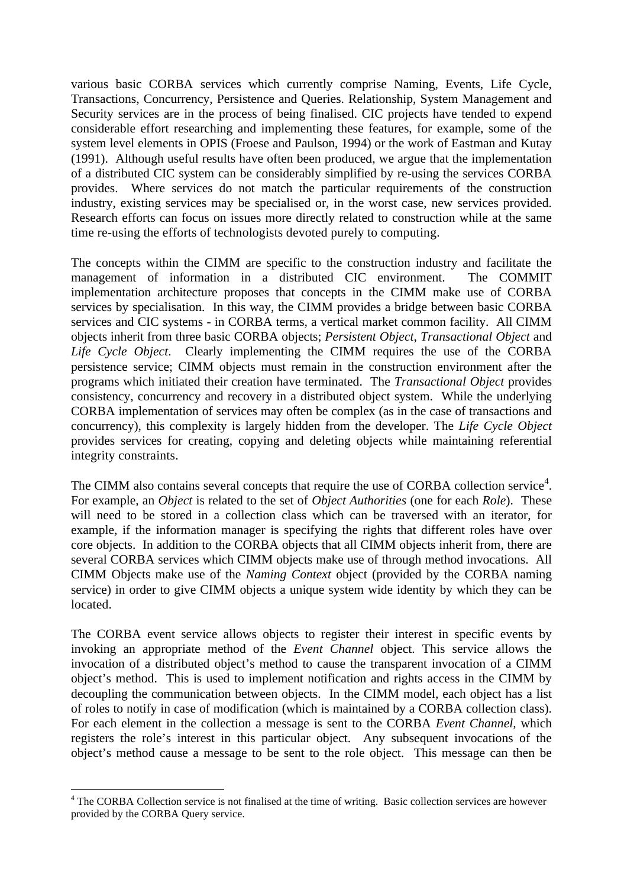various basic CORBA services which currently comprise Naming, Events, Life Cycle, Transactions, Concurrency, Persistence and Queries. Relationship, System Management and Security services are in the process of being finalised. CIC projects have tended to expend considerable effort researching and implementing these features, for example, some of the system level elements in OPIS (Froese and Paulson, 1994) or the work of Eastman and Kutay (1991). Although useful results have often been produced, we argue that the implementation of a distributed CIC system can be considerably simplified by re-using the services CORBA provides. Where services do not match the particular requirements of the construction industry, existing services may be specialised or, in the worst case, new services provided. Research efforts can focus on issues more directly related to construction while at the same time re-using the efforts of technologists devoted purely to computing.

The concepts within the CIMM are specific to the construction industry and facilitate the management of information in a distributed CIC environment. The COMMIT implementation architecture proposes that concepts in the CIMM make use of CORBA services by specialisation. In this way, the CIMM provides a bridge between basic CORBA services and CIC systems - in CORBA terms, a vertical market common facility. All CIMM objects inherit from three basic CORBA objects; *Persistent Object*, *Transactional Object* and *Life Cycle Object*. Clearly implementing the CIMM requires the use of the CORBA persistence service; CIMM objects must remain in the construction environment after the programs which initiated their creation have terminated. The *Transactional Object* provides consistency, concurrency and recovery in a distributed object system. While the underlying CORBA implementation of services may often be complex (as in the case of transactions and concurrency), this complexity is largely hidden from the developer. The *Life Cycle Object* provides services for creating, copying and deleting objects while maintaining referential integrity constraints.

The CIMM also contains several concepts that require the use of CORBA collection service<sup>4</sup>. For example, an *Object* is related to the set of *Object Authorities* (one for each *Role*). These will need to be stored in a collection class which can be traversed with an iterator, for example, if the information manager is specifying the rights that different roles have over core objects. In addition to the CORBA objects that all CIMM objects inherit from, there are several CORBA services which CIMM objects make use of through method invocations. All CIMM Objects make use of the *Naming Context* object (provided by the CORBA naming service) in order to give CIMM objects a unique system wide identity by which they can be **located** 

The CORBA event service allows objects to register their interest in specific events by invoking an appropriate method of the *Event Channel* object. This service allows the invocation of a distributed object's method to cause the transparent invocation of a CIMM object's method. This is used to implement notification and rights access in the CIMM by decoupling the communication between objects. In the CIMM model, each object has a list of roles to notify in case of modification (which is maintained by a CORBA collection class). For each element in the collection a message is sent to the CORBA *Event Channel,* which registers the role's interest in this particular object. Any subsequent invocations of the object's method cause a message to be sent to the role object. This message can then be

 $\overline{a}$ 

<sup>4</sup> The CORBA Collection service is not finalised at the time of writing. Basic collection services are however provided by the CORBA Query service.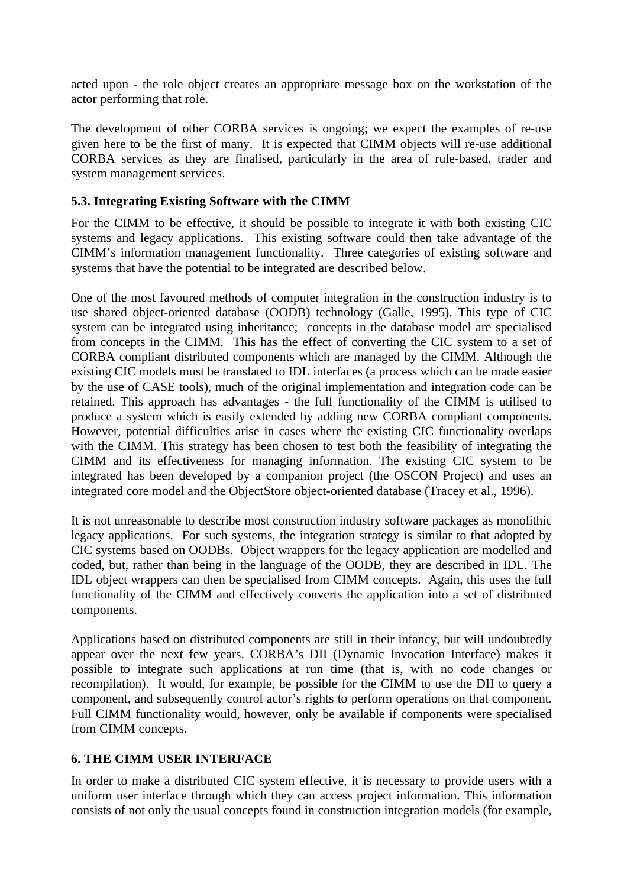acted upon - the role object creates an appropriate message box on the workstation of the actor performing that role.

The development of other CORBA services is ongoing; we expect the examples of re-use given here to be the first of many. It is expected that CIMM objects will re-use additional CORBA services as they are finalised, particularly in the area of rule-based, trader and system management services.

### **5.3. Integrating Existing Software with the CIMM**

For the CIMM to be effective, it should be possible to integrate it with both existing CIC systems and legacy applications. This existing software could then take advantage of the CIMM's information management functionality. Three categories of existing software and systems that have the potential to be integrated are described below.

One of the most favoured methods of computer integration in the construction industry is to use shared object-oriented database (OODB) technology (Galle, 1995). This type of CIC system can be integrated using inheritance; concepts in the database model are specialised from concepts in the CIMM. This has the effect of converting the CIC system to a set of CORBA compliant distributed components which are managed by the CIMM. Although the existing CIC models must be translated to IDL interfaces (a process which can be made easier by the use of CASE tools), much of the original implementation and integration code can be retained. This approach has advantages - the full functionality of the CIMM is utilised to produce a system which is easily extended by adding new CORBA compliant components. However, potential difficulties arise in cases where the existing CIC functionality overlaps with the CIMM. This strategy has been chosen to test both the feasibility of integrating the CIMM and its effectiveness for managing information. The existing CIC system to be integrated has been developed by a companion project (the OSCON Project) and uses an integrated core model and the ObjectStore object-oriented database (Tracey et al., 1996).

It is not unreasonable to describe most construction industry software packages as monolithic legacy applications. For such systems, the integration strategy is similar to that adopted by CIC systems based on OODBs. Object wrappers for the legacy application are modelled and coded, but, rather than being in the language of the OODB, they are described in IDL. The IDL object wrappers can then be specialised from CIMM concepts. Again, this uses the full functionality of the CIMM and effectively converts the application into a set of distributed components.

Applications based on distributed components are still in their infancy, but will undoubtedly appear over the next few years. CORBA's DII (Dynamic Invocation Interface) makes it possible to integrate such applications at run time (that is, with no code changes or recompilation). It would, for example, be possible for the CIMM to use the DII to query a component, and subsequently control actor's rights to perform operations on that component. Full CIMM functionality would, however, only be available if components were specialised from CIMM concepts.

# **6. THE CIMM USER INTERFACE**

In order to make a distributed CIC system effective, it is necessary to provide users with a uniform user interface through which they can access project information. This information consists of not only the usual concepts found in construction integration models (for example,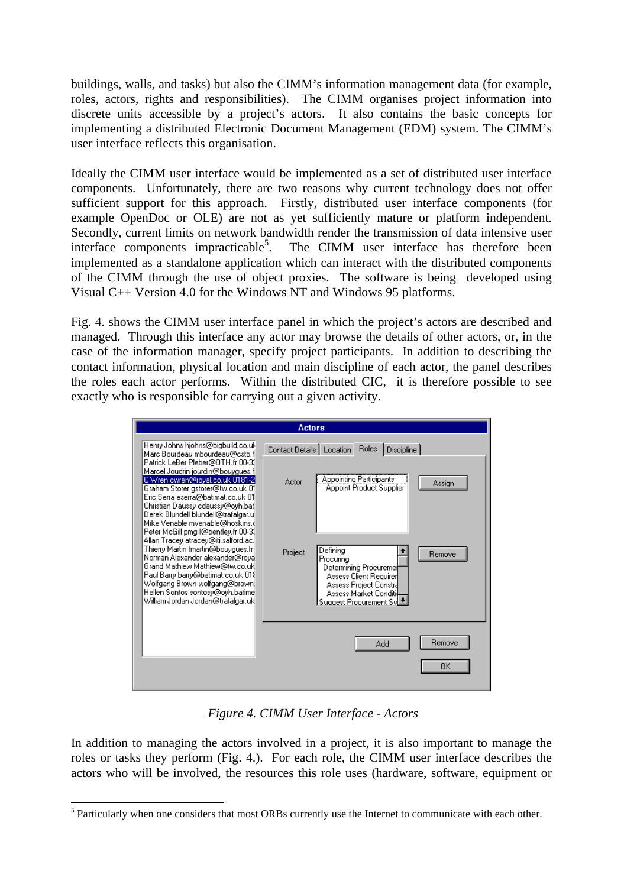buildings, walls, and tasks) but also the CIMM's information management data (for example, roles, actors, rights and responsibilities). The CIMM organises project information into discrete units accessible by a project's actors. It also contains the basic concepts for implementing a distributed Electronic Document Management (EDM) system. The CIMM's user interface reflects this organisation.

Ideally the CIMM user interface would be implemented as a set of distributed user interface components. Unfortunately, there are two reasons why current technology does not offer sufficient support for this approach. Firstly, distributed user interface components (for example OpenDoc or OLE) are not as yet sufficiently mature or platform independent. Secondly, current limits on network bandwidth render the transmission of data intensive user interface components impracticable<sup>5</sup>. . The CIMM user interface has therefore been implemented as a standalone application which can interact with the distributed components of the CIMM through the use of object proxies. The software is being developed using Visual C++ Version 4.0 for the Windows NT and Windows 95 platforms.

Fig. 4. shows the CIMM user interface panel in which the project's actors are described and managed. Through this interface any actor may browse the details of other actors, or, in the case of the information manager, specify project participants. In addition to describing the contact information, physical location and main discipline of each actor, the panel describes the roles each actor performs. Within the distributed CIC, it is therefore possible to see exactly who is responsible for carrying out a given activity.



*Figure 4. CIMM User Interface - Actors*

In addition to managing the actors involved in a project, it is also important to manage the roles or tasks they perform (Fig. 4.). For each role, the CIMM user interface describes the actors who will be involved, the resources this role uses (hardware, software, equipment or

 $\overline{a}$ 

<sup>&</sup>lt;sup>5</sup> Particularly when one considers that most ORBs currently use the Internet to communicate with each other.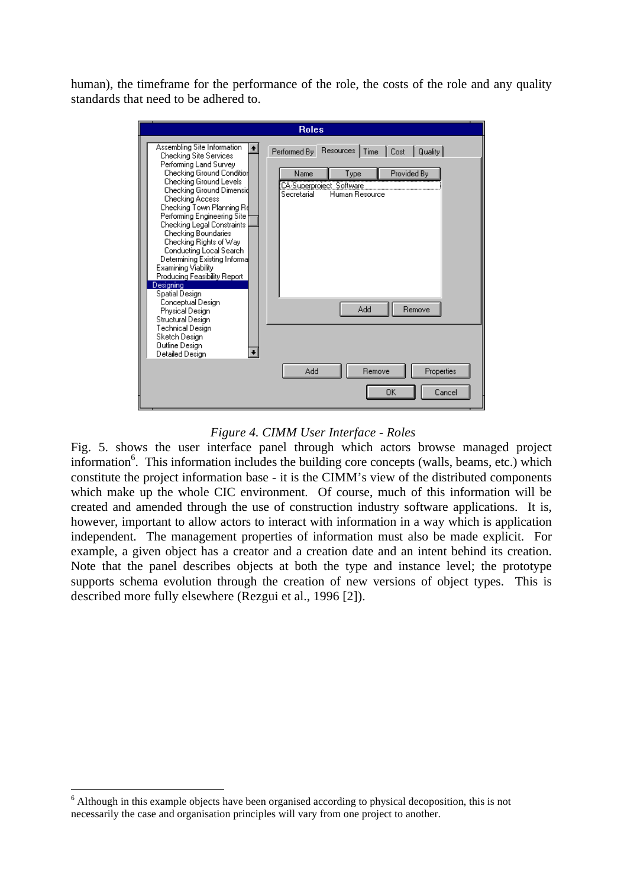human), the timeframe for the performance of the role, the costs of the role and any quality standards that need to be adhered to.

#### *Figure 4. CIMM User Interface - Roles*

Fig. 5. shows the user interface panel through which actors browse managed project information<sup>6</sup>. This information includes the building core concepts (walls, beams, etc.) which constitute the project information base - it is the CIMM's view of the distributed components which make up the whole CIC environment. Of course, much of this information will be created and amended through the use of construction industry software applications. It is, however, important to allow actors to interact with information in a way which is application independent. The management properties of information must also be made explicit. For example, a given object has a creator and a creation date and an intent behind its creation. Note that the panel describes objects at both the type and instance level; the prototype supports schema evolution through the creation of new versions of object types. This is described more fully elsewhere (Rezgui et al., 1996 [2]).

 $\overline{a}$ 

<sup>&</sup>lt;sup>6</sup> Although in this example objects have been organised according to physical decoposition, this is not necessarily the case and organisation principles will vary from one project to another.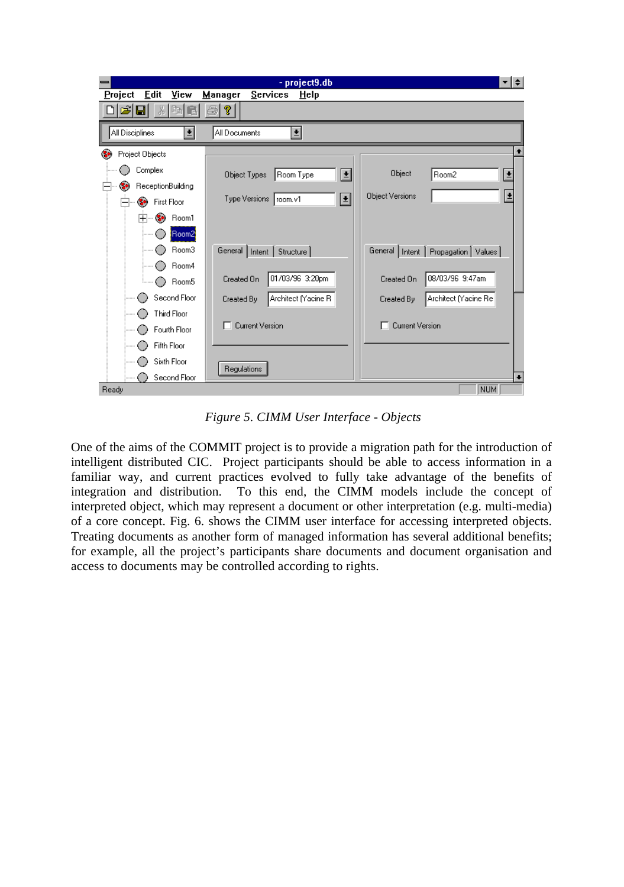| - project9.db<br>≖I≑                                   |                                   |                                         |
|--------------------------------------------------------|-----------------------------------|-----------------------------------------|
| Edit<br>View<br>Project<br>Manager<br>Services<br>Help |                                   |                                         |
| P<br>自<br>ಕೆ<br>X<br>e.<br>ы<br>R                      |                                   |                                         |
| All Disciplines<br>회<br>회<br>All Documents             |                                   |                                         |
| Project Objects                                        |                                   |                                         |
| Complex                                                | ≝<br>Object Types<br>Room Type    | Object<br>Room <sub>2</sub><br>±        |
| ReceptionBuilding<br>e,                                |                                   |                                         |
| <b>First Floor</b><br>Ge.                              | E<br>Type Versions   room.v1      | Ł<br><b>Object Versions</b>             |
| Room1<br>$\overline{+}$<br>œ.                          |                                   |                                         |
| Room2                                                  |                                   |                                         |
| Room3                                                  | General   Intent   Structure      | General   Intent   Propagation   Values |
| Room4                                                  |                                   |                                         |
| Room5                                                  | 01/03/96 3:20pm<br>Created On     | 08/03/96 9:47am<br>Created On           |
| Second Floor                                           | Architect (Yacine R<br>Created By | Architect Macine Re<br>Created By       |
| <b>Third Floor</b>                                     |                                   |                                         |
| Fourth Floor                                           | <b>T</b> Current Version          | <b>Current Version</b>                  |
| Fifth Floor                                            |                                   |                                         |
| Sixth Floor                                            | Regulations                       |                                         |
| Second Floor                                           |                                   | $\ddot{}$                               |
| <b>NUM</b><br>Ready                                    |                                   |                                         |

*Figure 5. CIMM User Interface - Objects*

One of the aims of the COMMIT project is to provide a migration path for the introduction of intelligent distributed CIC. Project participants should be able to access information in a familiar way, and current practices evolved to fully take advantage of the benefits of integration and distribution. To this end, the CIMM models include the concept of interpreted object, which may represent a document or other interpretation (e.g. multi-media) of a core concept. Fig. 6. shows the CIMM user interface for accessing interpreted objects. Treating documents as another form of managed information has several additional benefits; for example, all the project's participants share documents and document organisation and access to documents may be controlled according to rights.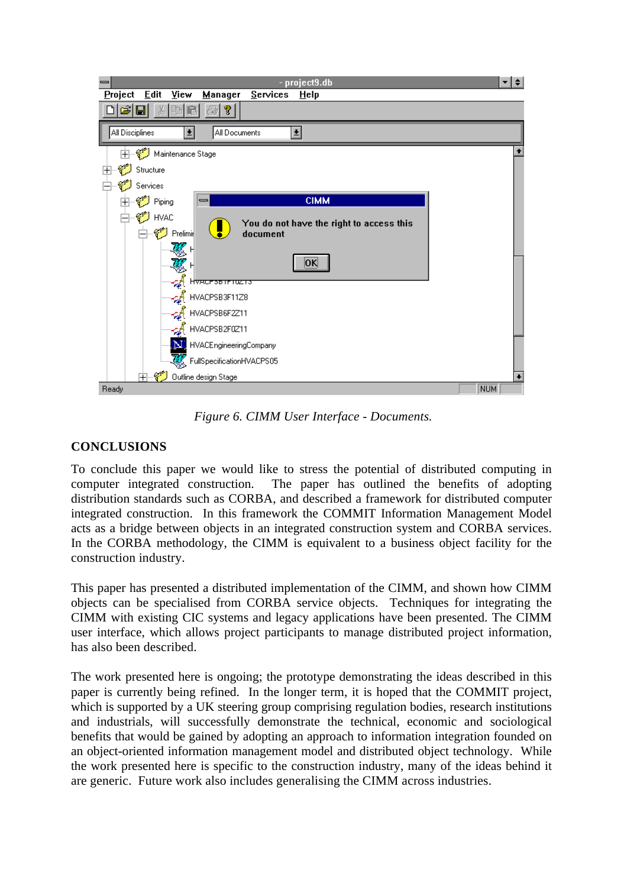

*Figure 6. CIMM User Interface - Documents.*

### **CONCLUSIONS**

To conclude this paper we would like to stress the potential of distributed computing in computer integrated construction. The paper has outlined the benefits of adopting distribution standards such as CORBA, and described a framework for distributed computer integrated construction. In this framework the COMMIT Information Management Model acts as a bridge between objects in an integrated construction system and CORBA services. In the CORBA methodology, the CIMM is equivalent to a business object facility for the construction industry.

This paper has presented a distributed implementation of the CIMM, and shown how CIMM objects can be specialised from CORBA service objects. Techniques for integrating the CIMM with existing CIC systems and legacy applications have been presented. The CIMM user interface, which allows project participants to manage distributed project information, has also been described.

The work presented here is ongoing; the prototype demonstrating the ideas described in this paper is currently being refined. In the longer term, it is hoped that the COMMIT project, which is supported by a UK steering group comprising regulation bodies, research institutions and industrials, will successfully demonstrate the technical, economic and sociological benefits that would be gained by adopting an approach to information integration founded on an object-oriented information management model and distributed object technology. While the work presented here is specific to the construction industry, many of the ideas behind it are generic. Future work also includes generalising the CIMM across industries.